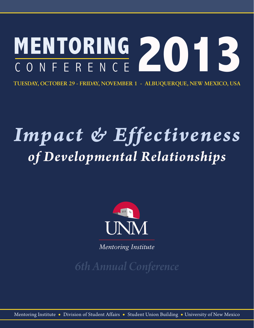

**TUESDAY, OCTOBER 29 - FRIDAY, NOVEMBER 1 - ALBUQUERQUE, NEW MEXICO, USA** 

# *Impact & Effectiveness of Developmental Relationships*



*Mentoring Institute*

*6th Annual Conference*

Mentoring Institute **r** Division of Student Affairs **r** Student Union Building **r** University of New Mexico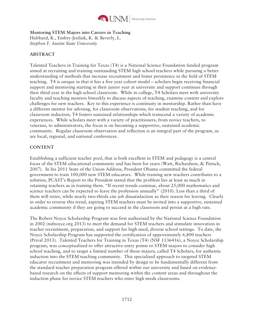

## **Mentoring STEM Majors into Careers in Teaching**

Hubbard, K., Embry-Jenlink, K. & Beverly, L. *Stephen F. Austin State University* 

# **ABSTRACT**

Talented Teachers in Training for Texas (T4) is a National Science Foundation funded program aimed at recruiting and training outstanding STEM high school teachers while pursuing a better understanding of methods that increase recruitment and foster persistence in the field of STEM teaching. T4 is unique in that it has a five year cohort model – scholars begin receiving financial support and mentoring starting in their junior year at university and support continues through their third year in the high school classroom. While in college, T4 Scholars meet with university faculty and teaching mentors biweekly to discuss aspects of teaching, examine content and explore challenges for new teachers. Key to this experience is continuity in mentorship. Rather than have a different mentor for advising, for classroom observations, for student teaching, and for classroom induction, T4 fosters sustained relationships which transcend a variety of academic experiences. While scholars meet with a variety of practitioners, from novice teachers, to veterans, to administrators, the focus is on becoming a supportive, sustained academic community. Regular classroom observation and reflection is an integral part of the program, as are local, regional, and national conferences.

# **CONTENT**

Establishing a sufficient teacher pool, that is both excellent in STEM and pedagogy is a central focus of the STEM educational community and has been for years (Watt, Richardson, & Pietsch, 2007). In his 2011 State of the Union Address, President Obama committed the federal government to train 100,000 new STEM educators. While training new teachers contributes to a solution, PCAST's Report to the President stated that the problem lies at least as much in *retaining* teachers as in *training* them. "If recent trends continue, about 25,000 mathematics and science teachers can be expected to leave the profession annually" (2010). Less than a third of them will retire, while nearly two-thirds cite job dissatisfaction as their reason for leaving. Clearly in order to reverse this trend, aspiring STEM teachers must be invited into a supportive, sustained academic community if they are going to succeed in the classroom and persist at a high rate.

The Robert Noyce Scholarship Program was first authorized by the National Science Foundation in 2002 (nsfnoyce.org 2013) to meet the demand for STEM teachers and stimulate innovation in teacher recruitment, preparation, and support for high-need, diverse school settings. To date, the Noyce Scholarship Program has supported the certification of approximately 6,800 teachers (Prival 2013). Talented Teachers for Training in Texas (T4) (NSF 1136416), a Noyce Scholarship program, was conceptualized to offer attractive entry points to STEM majors to consider high school teaching, and to target a limited number of those majors, called T4 Scholars, for authentic induction into the STEM teaching community. This specialized approach to targeted STEM educator recruitment and mentoring was intended by design to be fundamentally different from the standard teacher preparation program offered within our university and based on evidencebased research on the effects of support mentoring within the *content* areas and throughout the induction phase for novice STEM teachers who enter high needs classrooms.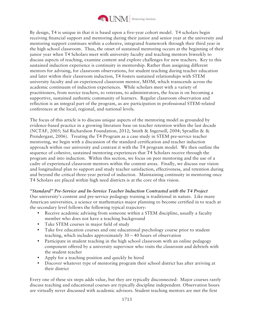

By design, T4 is unique in that it is based upon a five-year cohort model. T4 scholars begin receiving financial support and mentoring during their junior and senior year at the university and mentoring support continues within a cohesive, integrated framework through their third year in the high school classroom. Thus, the onset of sustained mentoring occurs at the beginning of their junior year when T4 Scholars meet with university faculty and teaching mentors biweekly to discuss aspects of teaching, examine content and explore challenges for new teachers. Key to this sustained induction experience is continuity in mentorship. Rather than assigning different mentors for advising, for classroom observations, for student teaching during teacher education and later within their classroom induction, T4 fosters sustained relationships with STEM university faculty and an experienced classroom mentor, MOM, which transcends across the academic continuum of induction experiences. While scholars meet with a variety of practitioners, from novice teachers, to veterans, to administrators, the focus is on becoming a supportive, sustained authentic community of learners. Regular classroom observation and reflection is an integral part of the program, as are participation in professional STEM-related conferences at the local, regional, and national levels.

The focus of this article is to discuss unique aspects of the mentoring model as grounded by evidence-based practice in a growing literature base on teacher retention within the last decade (NCTAF, 2005; Sid Richardson Foundation, 2012; Smith & Ingersoll, 2004; Spradlin & & Prendergast, 2006). Treating the T4 Program as a case study in STEM pre-service teacher mentoring, we begin with a discussion of the standard certification and teacher induction approach within our university and contrast it with the T4 program model. We then outline the sequence of cohesive, sustained mentoring experiences that T4 Scholars receive through the program and into induction. Within this section, we focus on peer mentoring and the use of a cadre of experienced classroom mentors within the content areas. Finally, we discuss our vision and longitudinal plan to support and study teacher satisfaction, effectiveness, and retention during and beyond the critical three-year period of induction. Maintaining continuity in mentoring once T4 Scholars are placed within high need districts is at the core of this vision.

*"Standard" Pre-Service and In-Service Teacher Induction Contrasted with the T4 Project*  Our university's content and pre-service pedagogy training is traditional in nature. Like many American universities, a science or mathematics major planning to become certified in to teach at the secondary level follows the following typical trajectory:

- Receive academic advising from someone within a STEM discipline, usually a faculty member who does not have a teaching background
- Take STEM courses in major field of study
- Take five education courses and one educational psychology course prior to student teaching, which includes approximately 30 – 40 hours of observation
- Participate in student teaching in the high school classroom with an online pedagogy component offered by a university supervisor who visits the classroom and debriefs with the student teacher
- Apply for a teaching position and quickly be hired
- Discover whatever type of mentoring program their school district has after arriving at their district

Every one of these six steps adds value, but they are typically disconnected: Major courses rarely discuss teaching and educational courses are typically discipline independent. Observation hours are virtually never discussed with academic advisors. Student teaching mentors are met the first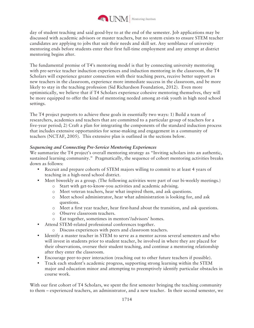

day of student teaching and said good-bye to at the end of the semester. Job applications may be discussed with academic advisors or master teachers, but no system exists to ensure STEM teacher candidates are applying to jobs that suit their needs and skill set. Any semblance of university mentoring ends before students enter their first full-time employment and any attempt at district mentoring begins after.

The fundamental premise of T4's mentoring model is that by connecting university mentoring with pre-service teacher induction experiences and induction mentoring in the classroom, the T4 Scholars will experience greater connection with their teaching peers, receive better support as new teachers in the classroom, experience more immediate success in the classroom, and be more likely to stay in the teaching profession (Sid Richardson Foundation, 2012). Even more optimistically, we believe that if T4 Scholars experience cohesive mentoring themselves, they will be more equipped to offer the kind of mentoring needed among at-risk youth in high need school settings.

The T4 project purports to achieve these goals in essentially two ways: 1) Build a team of researchers, academics and teachers that are committed to a particular group of teachers for a five-year period; 2) Craft a plan for integrating the components of the standard induction process that includes extensive opportunities for sense-making and engagement in a community of teachers (NCTAF, 2005). This extensive plan is outlined in the sections below.

# *Sequencing and Connecting Pre-Service Mentoring Experiences*

We summarize the T4 project's overall mentoring strategy as "Inviting scholars into an authentic, sustained learning community." Pragmatically, the sequence of cohort mentoring activities breaks down as follows:

- Recruit and prepare cohorts of STEM majors willing to commit to at least 4 years of teaching in a high-need school district.
- Meet biweekly as a group. (The following activities were part of our bi-weekly meetings.)
	- o Start with get-to-know-you activities and academic advising.
	- o Meet veteran teachers, hear what inspired them, and ask questions.
	- o Meet school administrator, hear what administration is looking for, and ask questions.
	- o Meet a first year teacher, hear first-hand about the transition, and ask questions.
	- o Observe classroom teachers.
	- o Eat together, sometimes in mentors'/advisors' homes.
- Attend STEM-related professional conferences together.
	- o Discuss experiences with peers and classroom teachers.
- Identify a master teacher in STEM to serve as a mentor across several semesters and who will invest in students prior to student teacher, be involved in where they are placed for their observations, oversee their student teaching, and continue a mentoring relationship after they enter the classroom.
- Encourage peer-to-peer interaction (reaching out to other future teachers if possible).
- Track each student's academic progress, supporting strong learning within the STEM major and education minor and attempting to preemptively identify particular obstacles in course work.

With our first cohort of T4 Scholars, we spent the first semester bringing the teaching community to them – experienced teachers, an administrator, and a new teacher. In their second semester, we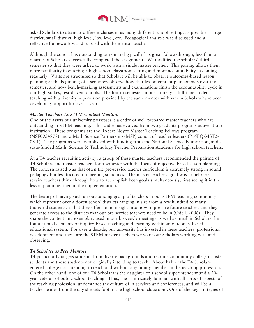

asked Scholars to attend 5 different classes in as many different school settings as possible – large district, small district, high level, low level, etc. Pedagogical analysis was discussed and a reflective framework was discussed with the mentor teacher.

Although the cohort has outstanding buy-in and typically has great follow-through, less than a quarter of Scholars successfully completed the assignment. We modified the scholars' third semester so that they were asked to work with a single master teacher. This pairing allows them more familiarity in entering a high school classroom setting and more accountability in coming regularly. Visits are structured so that Scholars will be able to observe outcomes-based lesson planning at the beginning of a semester, observe how that lesson content plan extends over the semester, and how bench-marking assessments and examinations finish the accountability cycle in our high-stakes, test-driven schools. The fourth semester in our strategy is full-time student teaching with university supervision provided by the same mentor with whom Scholars have been developing rapport for over a year.

#### *Master Teachers As STEM Content Mentors*

One of the assets our university possesses is a cadre of well-prepared master teachers who are outstanding in STEM teaching. This cadre has evolved from two graduate programs active at our institution. These programs are the Robert Noyce Master Teaching Fellows program (NSF0934878) and a Math Science Partnership (MSP) cohort of teacher leaders (P16EQ-MST2- 08-1). The programs were established with funding from the National Science Foundation, and a state-funded Math, Science & Technology Teacher Preparation Academy for high school teachers.

At a T4 teacher recruiting activity, a group of these master teachers recommended the pairing of T4 Scholars and master teachers for a semester with the focus of objective-based lesson planning. The concern raised was that often the pre-service teacher curriculum is extremely strong in sound pedagogy but less focused on meeting standards. The master teachers' goal was to help preservice teachers think through how to accomplish both goals simultaneously, first seeing it in the lesson planning, then in the implementation.

The beauty of having such an outstanding group of teachers in our STEM teaching community, which represent over a dozen school districts ranging in size from a few hundred to many thousand students, is that they offer sound insight into how to prepare future teachers and they generate access to the districts that our pre-service teachers need to be in (Odell, 2006). They shape the content and exemplars used in our bi-weekly meetings as well as instill in Scholars the foundational elements of inquiry-based teaching and learning within an outcomes-based educational system. For over a decade, our university has invested in these teachers' professional development and these are the STEM master teachers we want our Scholars working with and observing.

#### *T4 Scholars as Peer Mentors*

T4 particularly targets students from diverse backgrounds and recruits community college transfer students and those students not originally intending to teach. About half of the T4 Scholars entered college not intending to teach and without any family member in the teaching profession. On the other hand, one of our T4 Scholars is the daughter of a school superintendent and a 20 year veteran of public school teaching. Thus, she is intricately familiar with all sorts of aspects of the teaching profession, understands the culture of in-services and conferences, and will be a teacher-leader from the day she sets foot in the high school classroom. One of the key strategies of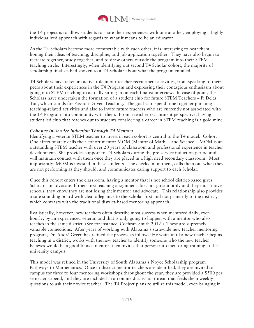

the T4 project is to allow students to share their experiences with one another, employing a highly individualized approach with regards to what it means to be an educator.

As the T4 Scholars become more comfortable with each other, it is interesting to hear them honing their ideas of teaching, discipline, and job application together. They have also begun to recreate together, study together, and to draw others outside the program into their STEM teaching circle. Interestingly, when identifying out second T4 Scholar cohort, the majority of scholarship finalists had spoken to a T4 Scholar about what the program entailed.

T4 Scholars have taken an active role in our teacher recruitment activities, from speaking to their peers about their experiences in the T4 Program and expressing their contagious enthusiasm about going into STEM teaching to actually sitting in on each finalist interview. In case of point, the Scholars have undertaken the formation of a student club for future STEM Teachers – Pi Delta Tau, which stands for Passion Driven Teaching. The goal is to spend time together pursuing teaching-related activities and also to invite future teachers who are currently not associated with the T4 Program into community with them. From a teacher recruitment perspective, having a student led club that reaches out to students considering a career in STEM teaching is a gold mine.

#### *Cohesive In-Service Induction Through T4 Mentors*

Identifying a veteran STEM teacher to invest in each cohort is central to the T4 model. Cohort One affectionately calls their cohort mentor MOM (Mentor of Math… and Science). MOM is an outstanding STEM teacher with over 20 years of classroom and professional experience in teacher development. She provides support to T4 Scholars during the pre-service induction period and will maintain contact with them once they are placed in a high need secondary classroom. Most importantly, MOM is invested in these students – she checks in on them, calls them out when they are not performing as they should, and communicates caring support to each Scholar.

Once this cohort enters the classroom, having a mentor that is not school district-based gives Scholars an advocate. If their first teaching assignment does not go smoothly and they must move schools, they know they are not losing their mentor and advocate. This relationship also provides a safe sounding board with clear allegiance to the Scholar first and not primarily to the district, which contrasts with the traditional district-based mentoring approach.

Realistically, however, new teachers often describe most success when mentored daily, even hourly, by an experienced veteran and that is only going to happen with a mentor who also teaches in the same district. (See for instance, Cochran-Smith 2012.) These are supremely valuable connections. After years of working with Alabama's statewide new teacher mentoring program, Dr. André Green has refined the process as follows: He waits until a new teacher begins teaching in a district, works with the new teacher to identify someone who the new teacher believes would be a good fit as a mentor, then invites that person into mentoring training at the university campus.

This model was refined in the University of South Alabama's Noyce Scholarship program Pathways to Mathematics. Once in-district mentor teachers are identified, they are invited to campus for three to four mentoring workshops throughout the year, they are provided a \$500 per semester stipend, and they are included in an online discussion thread that feeds them weekly questions to ask their novice teacher. The T4 Project plans to utilize this model, even bringing in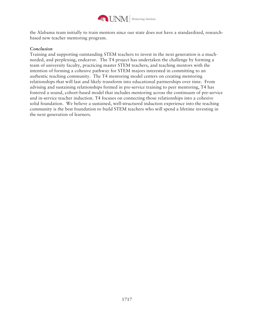

the Alabama team initially to train mentors since our state does not have a standardized, researchbased new teacher mentoring program.

## *Conclusion*

Training and supporting outstanding STEM teachers to invest in the next generation is a muchneeded, and perplexing, endeavor. The T4 project has undertaken the challenge by forming a team of university faculty, practicing master STEM teachers, and teaching mentors with the intention of forming a cohesive pathway for STEM majors interested in committing to an authentic teaching community. The T4 mentoring model centers on creating mentoring relationships that will last and likely transform into educational partnerships over time. From advising and sustaining relationships formed in pre-service training to peer mentoring, T4 has fostered a sound, cohort-based model that includes mentoring across the continuum of pre-service and in-service teacher induction. T4 focuses on connecting those relationships into a cohesive solid foundation. We believe a sustained, well-structured induction experience into the teaching community is the best foundation to build STEM teachers who will spend a lifetime investing in the next generation of learners.